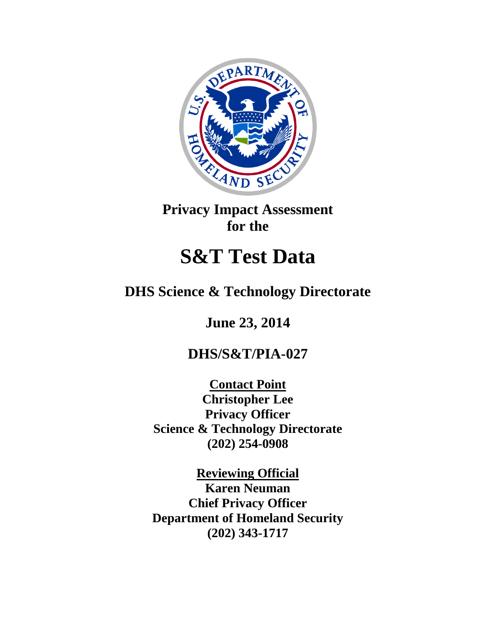

**Privacy Impact Assessment for the**

# **S&T Test Data**

## **DHS Science & Technology Directorate**

**June 23, 2014**

## **DHS/S&T/PIA-027**

**Contact Point Christopher Lee Privacy Officer Science & Technology Directorate (202) 254-0908**

**Reviewing Official Karen Neuman Chief Privacy Officer Department of Homeland Security (202) 343-1717**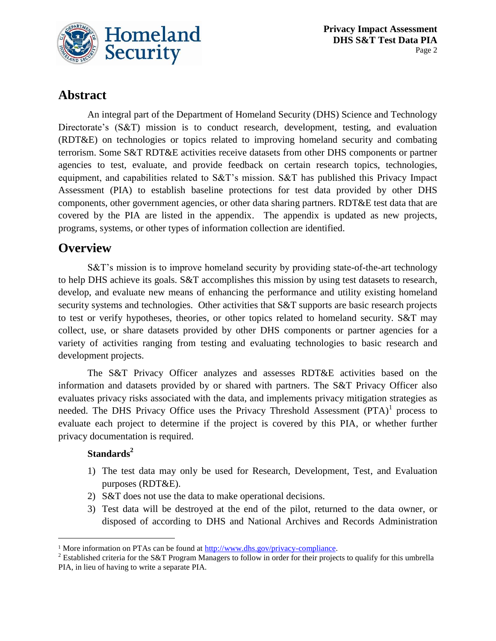

## **Abstract**

An integral part of the Department of Homeland Security (DHS) Science and Technology Directorate's (S&T) mission is to conduct research, development, testing, and evaluation (RDT&E) on technologies or topics related to improving homeland security and combating terrorism. Some S&T RDT&E activities receive datasets from other DHS components or partner agencies to test, evaluate, and provide feedback on certain research topics, technologies, equipment, and capabilities related to S&T's mission. S&T has published this Privacy Impact Assessment (PIA) to establish baseline protections for test data provided by other DHS components, other government agencies, or other data sharing partners. RDT&E test data that are covered by the PIA are listed in the appendix. The appendix is updated as new projects, programs, systems, or other types of information collection are identified.

## **Overview**

S&T's mission is to improve homeland security by providing state-of-the-art technology to help DHS achieve its goals. S&T accomplishes this mission by using test datasets to research, develop, and evaluate new means of enhancing the performance and utility existing homeland security systems and technologies. Other activities that S&T supports are basic research projects to test or verify hypotheses, theories, or other topics related to homeland security. S&T may collect, use, or share datasets provided by other DHS components or partner agencies for a variety of activities ranging from testing and evaluating technologies to basic research and development projects.

The S&T Privacy Officer analyzes and assesses RDT&E activities based on the information and datasets provided by or shared with partners. The S&T Privacy Officer also evaluates privacy risks associated with the data, and implements privacy mitigation strategies as needed. The DHS Privacy Office uses the Privacy Threshold Assessment  $(PTA)^{1}$  process to evaluate each project to determine if the project is covered by this PIA, or whether further privacy documentation is required.

#### **Standards<sup>2</sup>**

 $\overline{a}$ 

- 1) The test data may only be used for Research, Development, Test, and Evaluation purposes (RDT&E).
- 2) S&T does not use the data to make operational decisions.
- 3) Test data will be destroyed at the end of the pilot, returned to the data owner, or disposed of according to DHS and National Archives and Records Administration

<sup>&</sup>lt;sup>1</sup> More information on PTAs can be found at [http://www.dhs.gov/privacy-compliance.](http://www.dhs.gov/privacy-compliance)

<sup>&</sup>lt;sup>2</sup> Established criteria for the S&T Program Managers to follow in order for their projects to qualify for this umbrella PIA, in lieu of having to write a separate PIA.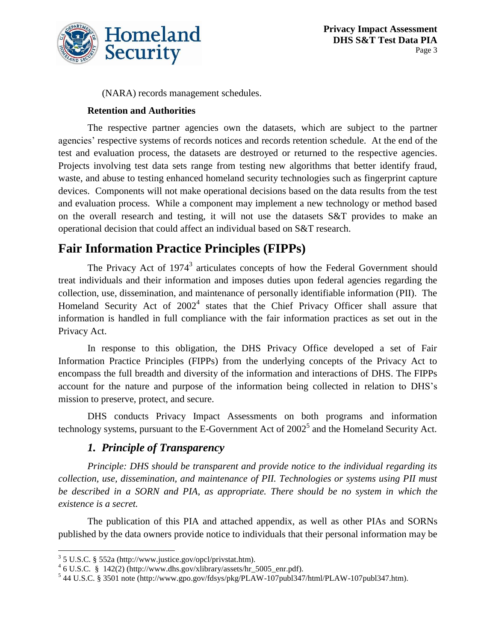

(NARA) records management schedules.

#### **Retention and Authorities**

The respective partner agencies own the datasets, which are subject to the partner agencies' respective systems of records notices and records retention schedule. At the end of the test and evaluation process, the datasets are destroyed or returned to the respective agencies. Projects involving test data sets range from testing new algorithms that better identify fraud, waste, and abuse to testing enhanced homeland security technologies such as fingerprint capture devices. Components will not make operational decisions based on the data results from the test and evaluation process. While a component may implement a new technology or method based on the overall research and testing, it will not use the datasets S&T provides to make an operational decision that could affect an individual based on S&T research.

## **Fair Information Practice Principles (FIPPs)**

The Privacy Act of 1974<sup>3</sup> articulates concepts of how the Federal Government should treat individuals and their information and imposes duties upon federal agencies regarding the collection, use, dissemination, and maintenance of personally identifiable information (PII). The Homeland Security Act of  $2002<sup>4</sup>$  states that the Chief Privacy Officer shall assure that information is handled in full compliance with the fair information practices as set out in the Privacy Act.

In response to this obligation, the DHS Privacy Office developed a set of Fair Information Practice Principles (FIPPs) from the underlying concepts of the Privacy Act to encompass the full breadth and diversity of the information and interactions of DHS. The FIPPs account for the nature and purpose of the information being collected in relation to DHS's mission to preserve, protect, and secure.

DHS conducts Privacy Impact Assessments on both programs and information technology systems, pursuant to the E-Government Act of  $2002^5$  and the Homeland Security Act.

#### *1. Principle of Transparency*

*Principle: DHS should be transparent and provide notice to the individual regarding its collection, use, dissemination, and maintenance of PII. Technologies or systems using PII must be described in a SORN and PIA, as appropriate. There should be no system in which the existence is a secret.*

The publication of this PIA and attached appendix, as well as other PIAs and SORNs published by the data owners provide notice to individuals that their personal information may be

 $\overline{a}$ 3 5 U.S.C. § 552a (http://www.justice.gov/opcl/privstat.htm).

 $46$  U.S.C. § 142(2) (http://www.dhs.gov/xlibrary/assets/hr\_5005\_enr.pdf).

<sup>5</sup> 44 U.S.C. § 3501 note (http://www.gpo.gov/fdsys/pkg/PLAW-107publ347/html/PLAW-107publ347.htm).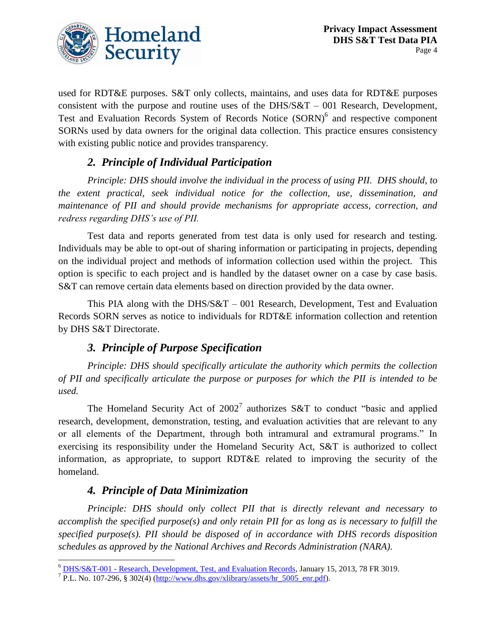

used for RDT&E purposes. S&T only collects, maintains, and uses data for RDT&E purposes consistent with the purpose and routine uses of the DHS/S&T – 001 Research, Development, Test and Evaluation Records System of Records Notice (SORN)<sup>6</sup> and respective component SORNs used by data owners for the original data collection. This practice ensures consistency with existing public notice and provides transparency.

#### *2. Principle of Individual Participation*

*Principle: DHS should involve the individual in the process of using PII. DHS should, to the extent practical, seek individual notice for the collection, use, dissemination, and maintenance of PII and should provide mechanisms for appropriate access, correction, and redress regarding DHS's use of PII.*

Test data and reports generated from test data is only used for research and testing. Individuals may be able to opt-out of sharing information or participating in projects, depending on the individual project and methods of information collection used within the project. This option is specific to each project and is handled by the dataset owner on a case by case basis. S&T can remove certain data elements based on direction provided by the data owner.

This PIA along with the DHS/S&T – 001 Research, Development, Test and Evaluation Records SORN serves as notice to individuals for RDT&E information collection and retention by DHS S&T Directorate.

#### *3. Principle of Purpose Specification*

*Principle: DHS should specifically articulate the authority which permits the collection of PII and specifically articulate the purpose or purposes for which the PII is intended to be used.*

The Homeland Security Act of  $2002<sup>7</sup>$  authorizes S&T to conduct "basic and applied research, development, demonstration, testing, and evaluation activities that are relevant to any or all elements of the Department, through both intramural and extramural programs." In exercising its responsibility under the Homeland Security Act, S&T is authorized to collect information, as appropriate, to support RDT&E related to improving the security of the homeland.

#### *4. Principle of Data Minimization*

*Principle: DHS should only collect PII that is directly relevant and necessary to accomplish the specified purpose(s) and only retain PII for as long as is necessary to fulfill the specified purpose(s). PII should be disposed of in accordance with DHS records disposition schedules as approved by the National Archives and Records Administration (NARA).*

 $\overline{a}$ <sup>6</sup> DHS/S&T-001 - [Research, Development, Test, and Evaluation Records,](http://www.gpo.gov/fdsys/pkg/FR-2013-01-15/html/2013-00602.htm) January 15, 2013, 78 FR 3019.

<sup>&</sup>lt;sup>7</sup> P.L. No. 107-296, § 302(4) ( $\frac{http://www.dhs.gov/xlibrary/assets/hr}{http://www.dhs.gov/xlibrary/assets/hr}$  5005 enr.pdf).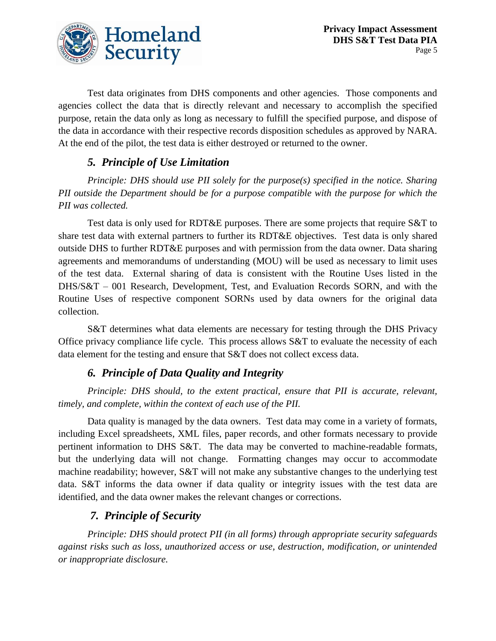

Test data originates from DHS components and other agencies. Those components and agencies collect the data that is directly relevant and necessary to accomplish the specified purpose, retain the data only as long as necessary to fulfill the specified purpose, and dispose of the data in accordance with their respective records disposition schedules as approved by NARA. At the end of the pilot, the test data is either destroyed or returned to the owner.

#### *5. Principle of Use Limitation*

*Principle: DHS should use PII solely for the purpose(s) specified in the notice. Sharing PII outside the Department should be for a purpose compatible with the purpose for which the PII was collected.*

Test data is only used for RDT&E purposes. There are some projects that require S&T to share test data with external partners to further its RDT&E objectives. Test data is only shared outside DHS to further RDT&E purposes and with permission from the data owner. Data sharing agreements and memorandums of understanding (MOU) will be used as necessary to limit uses of the test data. External sharing of data is consistent with the Routine Uses listed in the DHS/S&T – 001 Research, Development, Test, and Evaluation Records SORN, and with the Routine Uses of respective component SORNs used by data owners for the original data collection.

S&T determines what data elements are necessary for testing through the DHS Privacy Office privacy compliance life cycle. This process allows S&T to evaluate the necessity of each data element for the testing and ensure that S&T does not collect excess data.

#### *6. Principle of Data Quality and Integrity*

*Principle: DHS should, to the extent practical, ensure that PII is accurate, relevant, timely, and complete, within the context of each use of the PII.*

Data quality is managed by the data owners. Test data may come in a variety of formats, including Excel spreadsheets, XML files, paper records, and other formats necessary to provide pertinent information to DHS S&T. The data may be converted to machine-readable formats, but the underlying data will not change. Formatting changes may occur to accommodate machine readability; however, S&T will not make any substantive changes to the underlying test data. S&T informs the data owner if data quality or integrity issues with the test data are identified, and the data owner makes the relevant changes or corrections.

#### *7. Principle of Security*

*Principle: DHS should protect PII (in all forms) through appropriate security safeguards against risks such as loss, unauthorized access or use, destruction, modification, or unintended or inappropriate disclosure.*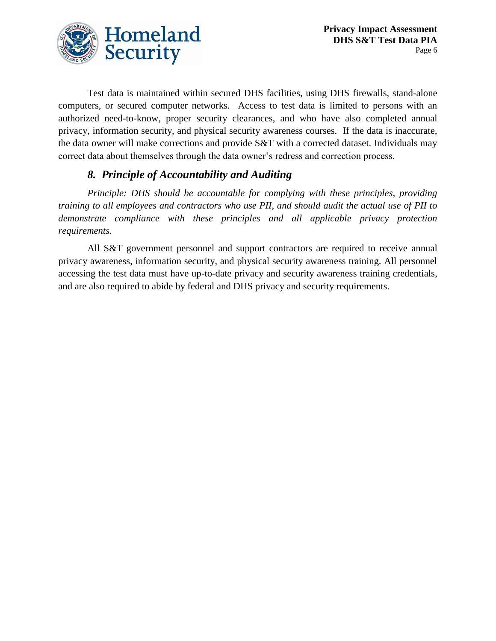

Test data is maintained within secured DHS facilities, using DHS firewalls, stand-alone computers, or secured computer networks. Access to test data is limited to persons with an authorized need-to-know, proper security clearances, and who have also completed annual privacy, information security, and physical security awareness courses. If the data is inaccurate, the data owner will make corrections and provide S&T with a corrected dataset. Individuals may correct data about themselves through the data owner's redress and correction process.

#### *8. Principle of Accountability and Auditing*

*Principle: DHS should be accountable for complying with these principles, providing training to all employees and contractors who use PII, and should audit the actual use of PII to demonstrate compliance with these principles and all applicable privacy protection requirements.*

All S&T government personnel and support contractors are required to receive annual privacy awareness, information security, and physical security awareness training. All personnel accessing the test data must have up-to-date privacy and security awareness training credentials, and are also required to abide by federal and DHS privacy and security requirements.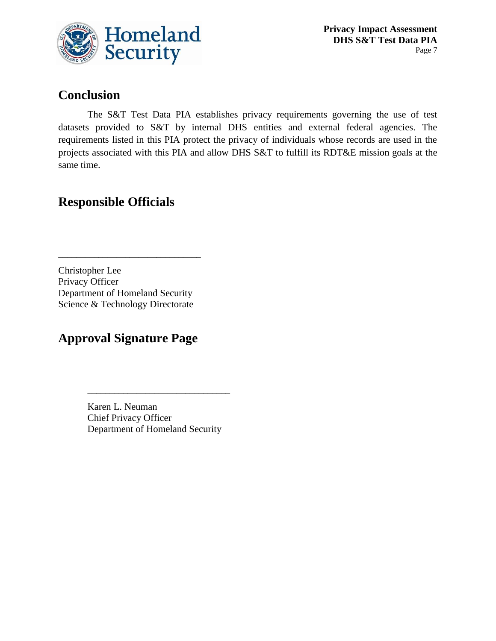

## **Conclusion**

The S&T Test Data PIA establishes privacy requirements governing the use of test datasets provided to S&T by internal DHS entities and external federal agencies. The requirements listed in this PIA protect the privacy of individuals whose records are used in the projects associated with this PIA and allow DHS S&T to fulfill its RDT&E mission goals at the same time.

## **Responsible Officials**

Christopher Lee Privacy Officer Department of Homeland Security Science & Technology Directorate

\_\_\_\_\_\_\_\_\_\_\_\_\_\_\_\_\_\_\_\_\_\_\_\_\_\_\_\_\_\_\_\_

## **Approval Signature Page**

Karen L. Neuman Chief Privacy Officer Department of Homeland Security

\_\_\_\_\_\_\_\_\_\_\_\_\_\_\_\_\_\_\_\_\_\_\_\_\_\_\_\_\_\_\_\_